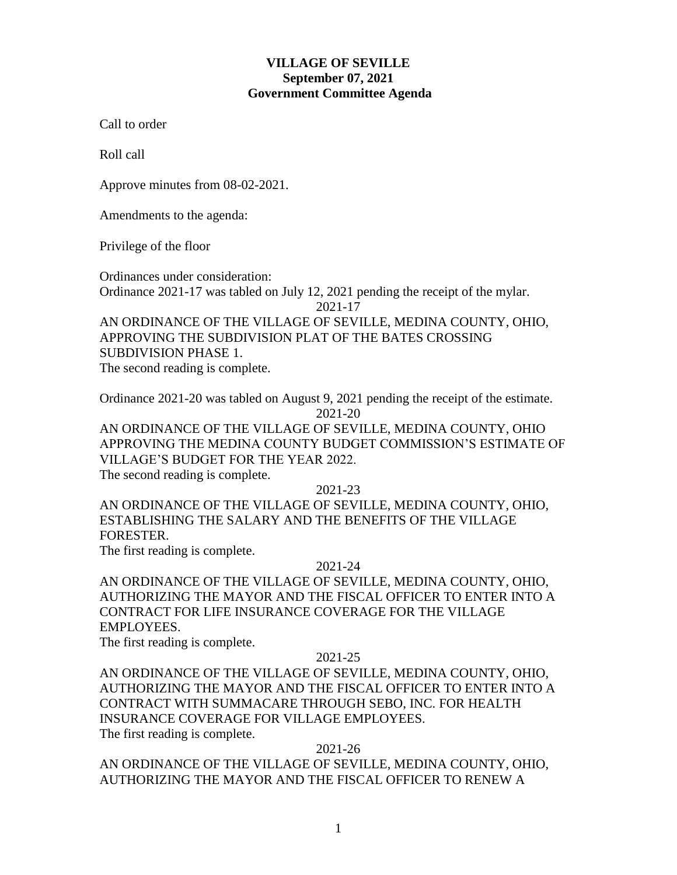# **VILLAGE OF SEVILLE September 07, 2021 Government Committee Agenda**

Call to order

Roll call

Approve minutes from 08-02-2021.

Amendments to the agenda:

Privilege of the floor

Ordinances under consideration: Ordinance 2021-17 was tabled on July 12, 2021 pending the receipt of the mylar.

2021-17

AN ORDINANCE OF THE VILLAGE OF SEVILLE, MEDINA COUNTY, OHIO, APPROVING THE SUBDIVISION PLAT OF THE BATES CROSSING SUBDIVISION PHASE 1. The second reading is complete.

Ordinance 2021-20 was tabled on August 9, 2021 pending the receipt of the estimate. 2021-20

AN ORDINANCE OF THE VILLAGE OF SEVILLE, MEDINA COUNTY, OHIO APPROVING THE MEDINA COUNTY BUDGET COMMISSION'S ESTIMATE OF VILLAGE'S BUDGET FOR THE YEAR 2022. The second reading is complete.

2021-23

AN ORDINANCE OF THE VILLAGE OF SEVILLE, MEDINA COUNTY, OHIO, ESTABLISHING THE SALARY AND THE BENEFITS OF THE VILLAGE FORESTER.

The first reading is complete.

### 2021-24

AN ORDINANCE OF THE VILLAGE OF SEVILLE, MEDINA COUNTY, OHIO, AUTHORIZING THE MAYOR AND THE FISCAL OFFICER TO ENTER INTO A CONTRACT FOR LIFE INSURANCE COVERAGE FOR THE VILLAGE EMPLOYEES.

The first reading is complete.

### 2021-25

AN ORDINANCE OF THE VILLAGE OF SEVILLE, MEDINA COUNTY, OHIO, AUTHORIZING THE MAYOR AND THE FISCAL OFFICER TO ENTER INTO A CONTRACT WITH SUMMACARE THROUGH SEBO, INC. FOR HEALTH INSURANCE COVERAGE FOR VILLAGE EMPLOYEES. The first reading is complete.

### 2021-26

AN ORDINANCE OF THE VILLAGE OF SEVILLE, MEDINA COUNTY, OHIO, AUTHORIZING THE MAYOR AND THE FISCAL OFFICER TO RENEW A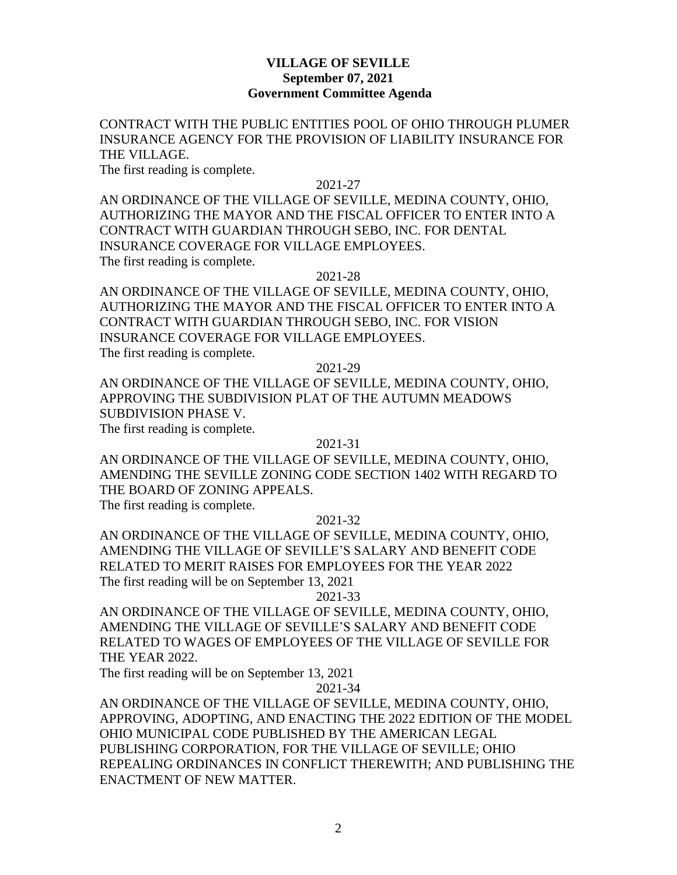## **VILLAGE OF SEVILLE September 07, 2021 Government Committee Agenda**

CONTRACT WITH THE PUBLIC ENTITIES POOL OF OHIO THROUGH PLUMER INSURANCE AGENCY FOR THE PROVISION OF LIABILITY INSURANCE FOR THE VILLAGE.

The first reading is complete.

2021-27

AN ORDINANCE OF THE VILLAGE OF SEVILLE, MEDINA COUNTY, OHIO, AUTHORIZING THE MAYOR AND THE FISCAL OFFICER TO ENTER INTO A CONTRACT WITH GUARDIAN THROUGH SEBO, INC. FOR DENTAL INSURANCE COVERAGE FOR VILLAGE EMPLOYEES. The first reading is complete.

2021-28

AN ORDINANCE OF THE VILLAGE OF SEVILLE, MEDINA COUNTY, OHIO, AUTHORIZING THE MAYOR AND THE FISCAL OFFICER TO ENTER INTO A CONTRACT WITH GUARDIAN THROUGH SEBO, INC. FOR VISION INSURANCE COVERAGE FOR VILLAGE EMPLOYEES. The first reading is complete.

2021-29

AN ORDINANCE OF THE VILLAGE OF SEVILLE, MEDINA COUNTY, OHIO, APPROVING THE SUBDIVISION PLAT OF THE AUTUMN MEADOWS SUBDIVISION PHASE V.

The first reading is complete.

2021-31

AN ORDINANCE OF THE VILLAGE OF SEVILLE, MEDINA COUNTY, OHIO, AMENDING THE SEVILLE ZONING CODE SECTION 1402 WITH REGARD TO THE BOARD OF ZONING APPEALS.

The first reading is complete.

2021-32

AN ORDINANCE OF THE VILLAGE OF SEVILLE, MEDINA COUNTY, OHIO, AMENDING THE VILLAGE OF SEVILLE'S SALARY AND BENEFIT CODE RELATED TO MERIT RAISES FOR EMPLOYEES FOR THE YEAR 2022 The first reading will be on September 13, 2021

2021-33

AN ORDINANCE OF THE VILLAGE OF SEVILLE, MEDINA COUNTY, OHIO, AMENDING THE VILLAGE OF SEVILLE'S SALARY AND BENEFIT CODE RELATED TO WAGES OF EMPLOYEES OF THE VILLAGE OF SEVILLE FOR THE YEAR 2022.

The first reading will be on September 13, 2021

2021-34

AN ORDINANCE OF THE VILLAGE OF SEVILLE, MEDINA COUNTY, OHIO, APPROVING, ADOPTING, AND ENACTING THE 2022 EDITION OF THE MODEL OHIO MUNICIPAL CODE PUBLISHED BY THE AMERICAN LEGAL PUBLISHING CORPORATION, FOR THE VILLAGE OF SEVILLE; OHIO REPEALING ORDINANCES IN CONFLICT THEREWITH; AND PUBLISHING THE ENACTMENT OF NEW MATTER.